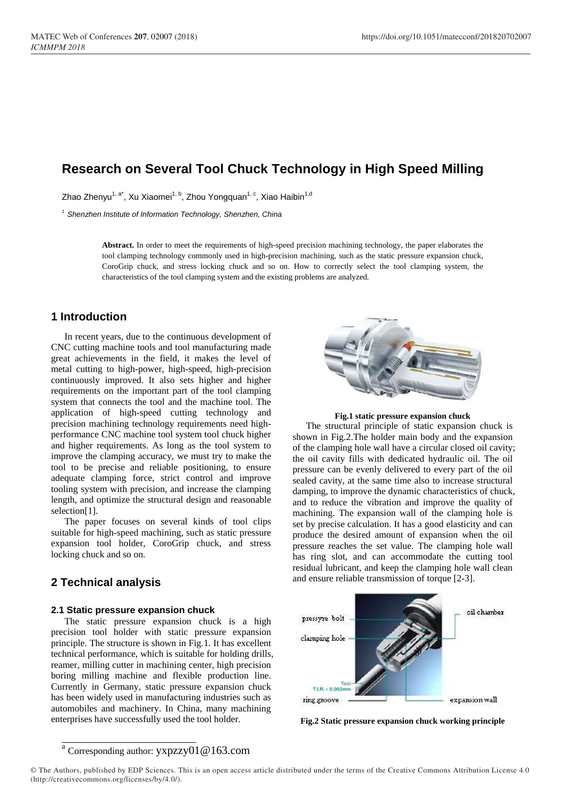# **Research on Several Tool Chuck Technology in High Speed Milling**

Zhao Zhenyu<sup>1, a\*</sup>, Xu Xiaomei<sup>1, b</sup>, Zhou Yongquan<sup>1, c</sup>, Xiao Haibin<sup>1,d</sup>

*1 Shenzhen Institute of Information Technology, Shenzhen, China*

**Abstract.** In order to meet the requirements of high-speed precision machining technology, the paper elaborates the tool clamping technology commonly used in high-precision machining, such as the static pressure expansion chuck, CoroGrip chuck, and stress locking chuck and so on. How to correctly select the tool clamping system, the characteristics of the tool clamping system and the existing problems are analyzed.

### **1 Introduction**

In recent years, due to the continuous development of CNC cutting machine tools and tool manufacturing made great achievements in the field, it makes the level of metal cutting to high-power, high-speed, high-precision continuously improved. It also sets higher and higher requirements on the important part of the tool clamping system that connects the tool and the machine tool. The application of high-speed cutting technology and precision machining technology requirements need highperformance CNC machine tool system tool chuck higher and higher requirements. As long as the tool system to improve the clamping accuracy, we must try to make the tool to be precise and reliable positioning, to ensure adequate clamping force, strict control and improve tooling system with precision, and increase the clamping length, and optimize the structural design and reasonable selection[1].

The paper focuses on several kinds of tool clips suitable for high-speed machining, such as static pressure expansion tool holder, CoroGrip chuck, and stress locking chuck and so on.

## **2 Technical analysis**

#### **2.1 Static pressure expansion chuck**

The static pressure expansion chuck is a high precision tool holder with static pressure expansion principle. The structure is shown in Fig.1. It has excellent technical performance, which is suitable for holding drills, reamer, milling cutter in machining center, high precision boring milling machine and flexible production line. Currently in Germany, static pressure expansion chuck has been widely used in manufacturing industries such as automobiles and machinery. In China, many machining enterprises have successfully used the tool holder.



**Fig.1 static pressure expansion chuck**

The structural principle of static expansion chuck is shown in Fig.2.The holder main body and the expansion of the clamping hole wall have a circular closed oil cavity; the oil cavity fills with dedicated hydraulic oil. The oil pressure can be evenly delivered to every part of the oil sealed cavity, at the same time also to increase structural damping, to improve the dynamic characteristics of chuck, and to reduce the vibration and improve the quality of machining. The expansion wall of the clamping hole is set by precise calculation. It has a good elasticity and can produce the desired amount of expansion when the oil pressure reaches the set value. The clamping hole wall has ring slot, and can accommodate the cutting tool residual lubricant, and keep the clamping hole wall clean and ensure reliable transmission of torque [2-3].



**Fig.2 Static pressure expansion chuck working principle**

#### a Corresponding author: yxpzzy01@163.com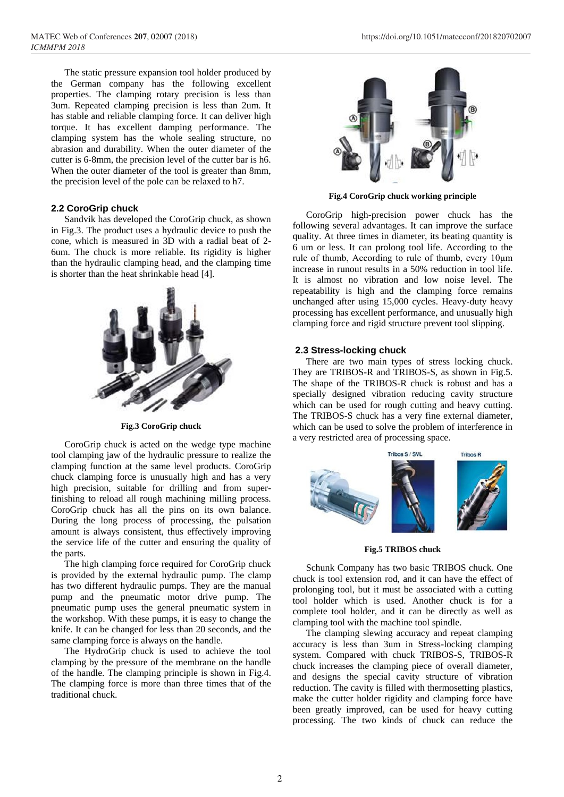The static pressure expansion tool holder produced by the German company has the following excellent properties. The clamping rotary precision is less than 3um. Repeated clamping precision is less than 2um. It has stable and reliable clamping force. It can deliver high torque. It has excellent damping performance. The clamping system has the whole sealing structure, no abrasion and durability. When the outer diameter of the cutter is 6-8mm, the precision level of the cutter bar is h6. When the outer diameter of the tool is greater than 8mm, the precision level of the pole can be relaxed to h7.

### **2.2 CoroGrip chuck**

Sandvik has developed the CoroGrip chuck, as shown in Fig.3. The product uses a hydraulic device to push the cone, which is measured in 3D with a radial beat of 2- 6um. The chuck is more reliable. Its rigidity is higher than the hydraulic clamping head, and the clamping time is shorter than the heat shrinkable head [4].



**Fig.3 CoroGrip chuck**

CoroGrip chuck is acted on the wedge type machine tool clamping jaw of the hydraulic pressure to realize the clamping function at the same level products. CoroGrip chuck clamping force is unusually high and has a very high precision, suitable for drilling and from superfinishing to reload all rough machining milling process. CoroGrip chuck has all the pins on its own balance. During the long process of processing, the pulsation amount is always consistent, thus effectively improving the service life of the cutter and ensuring the quality of the parts.

The high clamping force required for CoroGrip chuck is provided by the external hydraulic pump. The clamp has two different hydraulic pumps. They are the manual pump and the pneumatic motor drive pump. The pneumatic pump uses the general pneumatic system in the workshop. With these pumps, it is easy to change the knife. It can be changed for less than 20 seconds, and the same clamping force is always on the handle.

The HydroGrip chuck is used to achieve the tool clamping by the pressure of the membrane on the handle of the handle. The clamping principle is shown in Fig.4. The clamping force is more than three times that of the traditional chuck.



**Fig.4 CoroGrip chuck working principle**

CoroGrip high-precision power chuck has the following several advantages. It can improve the surface quality. At three times in diameter, its beating quantity is 6 um or less. It can prolong tool life. According to the rule of thumb, According to rule of thumb, every 10μm increase in runout results in a 50% reduction in tool life. It is almost no vibration and low noise level. The repeatability is high and the clamping force remains unchanged after using 15,000 cycles. Heavy-duty heavy processing has excellent performance, and unusually high clamping force and rigid structure prevent tool slipping.

#### **2.3 Stress-locking chuck**

There are two main types of stress locking chuck. They are TRIBOS-R and TRIBOS-S, as shown in Fig.5. The shape of the TRIBOS-R chuck is robust and has a specially designed vibration reducing cavity structure which can be used for rough cutting and heavy cutting. The TRIBOS-S chuck has a very fine external diameter, which can be used to solve the problem of interference in a very restricted area of processing space.



**Fig.5 TRIBOS chuck**

Schunk Company has two basic TRIBOS chuck. One chuck is tool extension rod, and it can have the effect of prolonging tool, but it must be associated with a cutting tool holder which is used. Another chuck is for a complete tool holder, and it can be directly as well as clamping tool with the machine tool spindle.

The clamping slewing accuracy and repeat clamping accuracy is less than 3um in Stress-locking clamping system. Compared with chuck TRIBOS-S, TRIBOS-R chuck increases the clamping piece of overall diameter, and designs the special cavity structure of vibration reduction. The cavity is filled with thermosetting plastics, make the cutter holder rigidity and clamping force have been greatly improved, can be used for heavy cutting processing. The two kinds of chuck can reduce the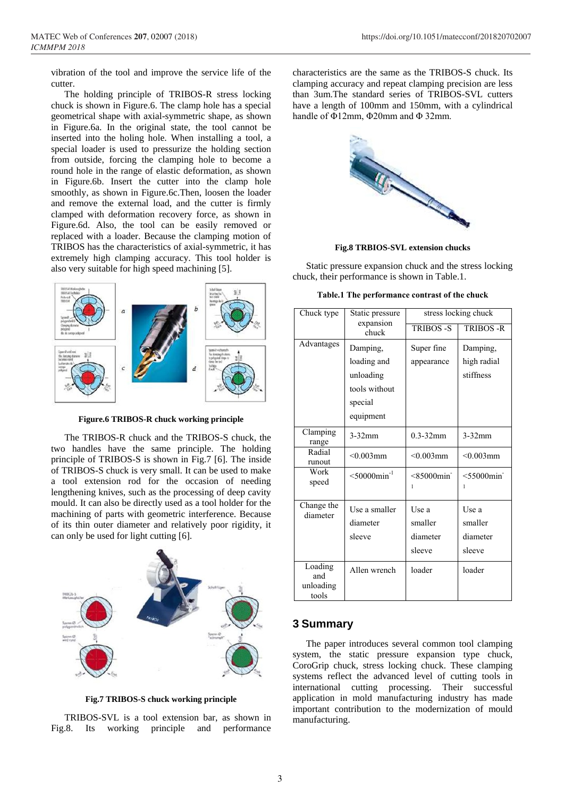vibration of the tool and improve the service life of the cutter.

The holding principle of TRIBOS-R stress locking chuck is shown in Figure.6. The clamp hole has a special geometrical shape with axial-symmetric shape, as shown in Figure.6a. In the original state, the tool cannot be inserted into the holing hole. When installing a tool, a special loader is used to pressurize the holding section from outside, forcing the clamping hole to become a round hole in the range of elastic deformation, as shown in Figure.6b. Insert the cutter into the clamp hole smoothly, as shown in Figure.6c.Then, loosen the loader and remove the external load, and the cutter is firmly clamped with deformation recovery force, as shown in Figure.6d. Also, the tool can be easily removed or replaced with a loader. Because the clamping motion of TRIBOS has the characteristics of axial-symmetric, it has extremely high clamping accuracy. This tool holder is also very suitable for high speed machining [5].



**Figure.6 TRIBOS-R chuck working principle**

The TRIBOS-R chuck and the TRIBOS-S chuck, the two handles have the same principle. The holding principle of TRIBOS-S is shown in Fig.7 [6]. The inside of TRIBOS-S chuck is very small. It can be used to make a tool extension rod for the occasion of needing lengthening knives, such as the processing of deep cavity mould. It can also be directly used as a tool holder for the machining of parts with geometric interference. Because of its thin outer diameter and relatively poor rigidity, it can only be used for light cutting [6].



**Fig.7 TRIBOS-S chuck working principle**

TRIBOS-SVL is a tool extension bar, as shown in Fig.8. Its working principle and performance characteristics are the same as the TRIBOS-S chuck. Its clamping accuracy and repeat clamping precision are less than 3um.The standard series of TRIBOS-SVL cutters have a length of 100mm and 150mm, with a cylindrical handle of Φ12mm, Φ20mm and Φ 32mm.



**Fig.8 TRBIOS-SVL extension chucks**

Static pressure expansion chuck and the stress locking chuck, their performance is shown in Table.1.

**Table.1 The performance contrast of the chuck**

| Chuck type                           | Static pressure             | stress locking chuck |                      |
|--------------------------------------|-----------------------------|----------------------|----------------------|
|                                      | expansion<br>chuck          | TRIBOS -S            | TRIBOS-R             |
| Advantages                           | Damping,                    | Super fine           | Damping,             |
|                                      | loading and                 | appearance           | high radial          |
|                                      | unloading                   |                      | stiffness            |
|                                      | tools without               |                      |                      |
|                                      | special                     |                      |                      |
|                                      | equipment                   |                      |                      |
| Clamping<br>range                    | $3-32$ mm                   | $0.3 - 32$ mm        | $3-32$ mm            |
| Radial<br>runout                     | $< 0.003$ mm                | $< 0.003$ mm         | $< 0.003$ mm         |
| Work<br>speed                        | $<$ 50000 $\text{min}^{-1}$ | $< 85000$ min<br>1   | $<$ 55000 $min$<br>1 |
| Change the<br>diameter               | Use a smaller               | Use a                | Use a                |
|                                      | diameter                    | smaller              | smaller              |
|                                      | sleeve                      | diameter             | diameter             |
|                                      |                             | sleeve               | sleeve               |
| Loading<br>and<br>unloading<br>tools | Allen wrench                | loader               | loader               |

### **3 Summary**

The paper introduces several common tool clamping system, the static pressure expansion type chuck, CoroGrip chuck, stress locking chuck. These clamping systems reflect the advanced level of cutting tools in international cutting processing. Their successful application in mold manufacturing industry has made important contribution to the modernization of mould manufacturing.